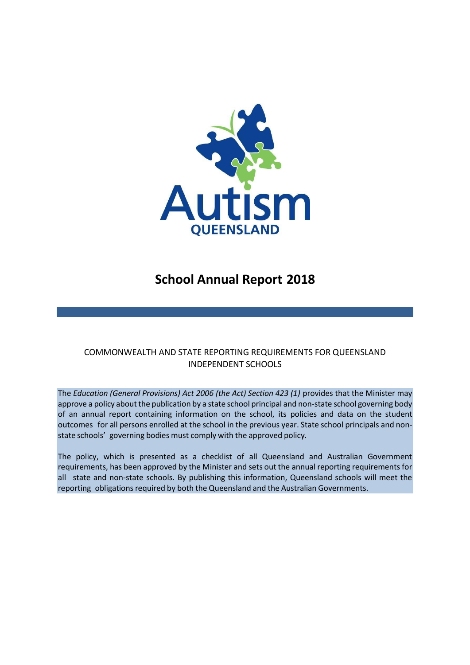

# **School Annual Report 2018**

# COMMONWEALTH AND STATE REPORTING REQUIREMENTS FOR QUEENSLAND INDEPENDENT SCHOOLS

The *Education (General Provisions) Act 2006 (the Act) Section 423 (1)* provides that the Minister may approve a policy about the publication by a state school principal and non-state school governing body of an annual report containing information on the school, its policies and data on the student outcomes for all persons enrolled at the school in the previous year. State school principals and nonstate schools' governing bodies must comply with the approved policy*.*

The policy, which is presented as a checklist of all Queensland and Australian Government requirements, has been approved by the Minister and sets out the annual reporting requirements for all state and non-state schools. By publishing this information, Queensland schools will meet the reporting obligations required by both the Queensland and the Australian Governments.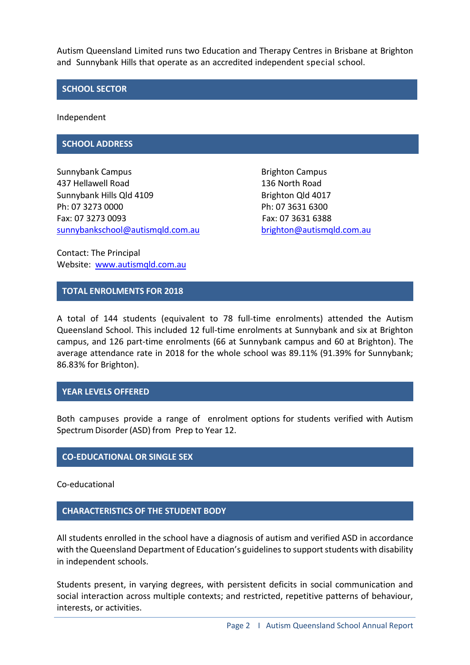Autism Queensland Limited runs two Education and Therapy Centres in Brisbane at Brighton and Sunnybank Hills that operate as an accredited independent special school.

### **SCHOOL SECTOR**

Independent

### **SCHOOL ADDRESS**

Sunnybank Campus **Brighton Campus** Brighton Campus 437 Hellawell Road 136 North Road Sunnybank Hills Qld 4109 Brighton Qld 4017 Ph: 07 3273 0000 Ph: 07 3631 6300 Fax: 07 3273 0093 Fax: 07 3631 6388 [sunnybankschool@autismqld.com.au](mailto:sunnybankschool@autismqld.com.au) [brighton@autismqld.com.au](mailto:righton@autismqld.com.au)

Contact: The Principal Website: [www.autismqld.com.au](http://www.autismqld.com.au/)

### **TOTAL ENROLMENTS FOR 2018**

A total of 144 students (equivalent to 78 full-time enrolments) attended the Autism Queensland School. This included 12 full-time enrolments at Sunnybank and six at Brighton campus, and 126 part-time enrolments (66 at Sunnybank campus and 60 at Brighton). The average attendance rate in 2018 for the whole school was 89.11% (91.39% for Sunnybank; 86.83% for Brighton).

### **YEAR LEVELS OFFERED**

Both campuses provide a range of enrolment options for students verified with Autism Spectrum Disorder(ASD) from Prep to Year 12.

### **CO-EDUCATIONAL OR SINGLE SEX**

Co-educational

### **CHARACTERISTICS OF THE STUDENT BODY**

All students enrolled in the school have a diagnosis of autism and verified ASD in accordance with the Queensland Department of Education's guidelines to support students with disability in independent schools.

Students present, in varying degrees, with persistent deficits in social communication and social interaction across multiple contexts; and restricted, repetitive patterns of behaviour, interests, or activities.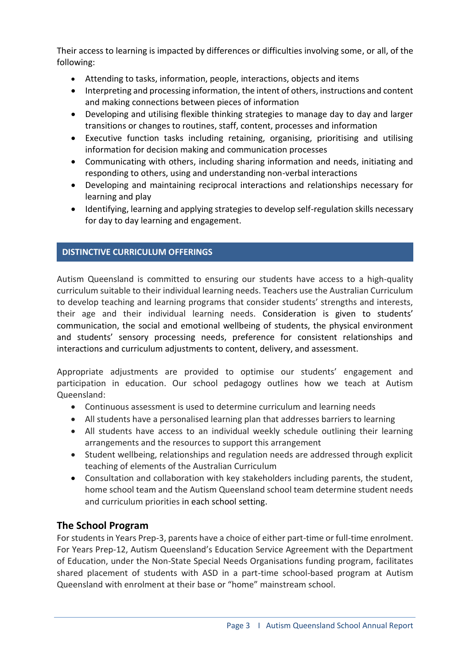Their access to learning is impacted by differences or difficulties involving some, or all, of the following:

- Attending to tasks, information, people, interactions, objects and items
- Interpreting and processing information, the intent of others, instructions and content and making connections between pieces of information
- Developing and utilising flexible thinking strategies to manage day to day and larger transitions or changes to routines, staff, content, processes and information
- Executive function tasks including retaining, organising, prioritising and utilising information for decision making and communication processes
- Communicating with others, including sharing information and needs, initiating and responding to others, using and understanding non-verbal interactions
- Developing and maintaining reciprocal interactions and relationships necessary for learning and play
- Identifying, learning and applying strategies to develop self-regulation skills necessary for day to day learning and engagement.

# **DISTINCTIVE CURRICULUM OFFERINGS**

Autism Queensland is committed to ensuring our students have access to a high-quality curriculum suitable to their individual learning needs. Teachers use the Australian Curriculum to develop teaching and learning programs that consider students' strengths and interests, their age and their individual learning needs. Consideration is given to students' communication, the social and emotional wellbeing of students, the physical environment and students' sensory processing needs, preference for consistent relationships and interactions and curriculum adjustments to content, delivery, and assessment.

Appropriate adjustments are provided to optimise our students' engagement and participation in education. Our school pedagogy outlines how we teach at Autism Queensland:

- Continuous assessment is used to determine curriculum and learning needs
- All students have a personalised learning plan that addresses barriers to learning
- All students have access to an individual weekly schedule outlining their learning arrangements and the resources to support this arrangement
- Student wellbeing, relationships and regulation needs are addressed through explicit teaching of elements of the Australian Curriculum
- Consultation and collaboration with key stakeholders including parents, the student, home school team and the Autism Queensland school team determine student needs and curriculum priorities in each school setting.

# **The School Program**

For students in Years Prep-3, parents have a choice of either part-time or full-time enrolment. For Years Prep-12, Autism Queensland's Education Service Agreement with the Department of Education, under the Non-State Special Needs Organisations funding program, facilitates shared placement of students with ASD in a part-time school-based program at Autism Queensland with enrolment at their base or "home" mainstream school.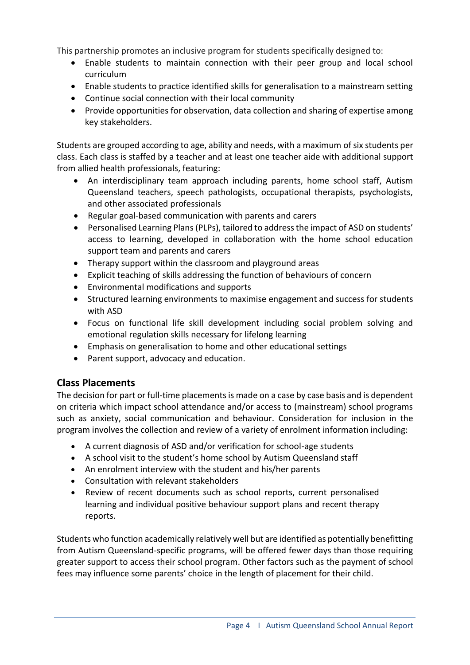This partnership promotes an inclusive program for students specifically designed to:

- Enable students to maintain connection with their peer group and local school curriculum
- Enable students to practice identified skills for generalisation to a mainstream setting
- Continue social connection with their local community
- Provide opportunities for observation, data collection and sharing of expertise among key stakeholders.

Students are grouped according to age, ability and needs, with a maximum of six students per class. Each class is staffed by a teacher and at least one teacher aide with additional support from allied health professionals, featuring:

- An interdisciplinary team approach including parents, home school staff, Autism Queensland teachers, speech pathologists, occupational therapists, psychologists, and other associated professionals
- Regular goal-based communication with parents and carers
- Personalised Learning Plans (PLPs), tailored to address the impact of ASD on students' access to learning, developed in collaboration with the home school education support team and parents and carers
- Therapy support within the classroom and playground areas
- Explicit teaching of skills addressing the function of behaviours of concern
- Environmental modifications and supports
- Structured learning environments to maximise engagement and success for students with ASD
- Focus on functional life skill development including social problem solving and emotional regulation skills necessary for lifelong learning
- Emphasis on generalisation to home and other educational settings
- Parent support, advocacy and education.

# **Class Placements**

The decision for part or full-time placements is made on a case by case basis and is dependent on criteria which impact school attendance and/or access to (mainstream) school programs such as anxiety, social communication and behaviour. Consideration for inclusion in the program involves the collection and review of a variety of enrolment information including:

- A current diagnosis of ASD and/or verification for school-age students
- A school visit to the student's home school by Autism Queensland staff
- An enrolment interview with the student and his/her parents
- Consultation with relevant stakeholders
- Review of recent documents such as school reports, current personalised learning and individual positive behaviour support plans and recent therapy reports.

Students who function academically relatively well but are identified as potentially benefitting from Autism Queensland-specific programs, will be offered fewer days than those requiring greater support to access their school program. Other factors such as the payment of school fees may influence some parents' choice in the length of placement for their child.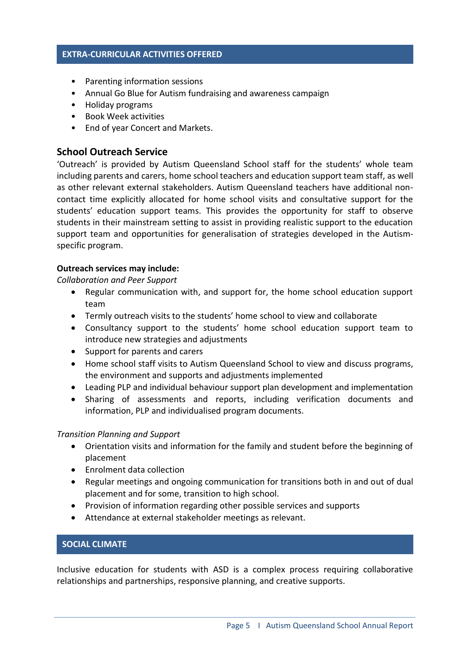### **EXTRA-CURRICULAR ACTIVITIES OFFERED**

- Parenting information sessions
- Annual Go Blue for Autism fundraising and awareness campaign
- Holiday programs
- Book Week activities
- End of year Concert and Markets.

# **School Outreach Service**

'Outreach' is provided by Autism Queensland School staff for the students' whole team including parents and carers, home school teachers and education support team staff, as well as other relevant external stakeholders. Autism Queensland teachers have additional noncontact time explicitly allocated for home school visits and consultative support for the students' education support teams. This provides the opportunity for staff to observe students in their mainstream setting to assist in providing realistic support to the education support team and opportunities for generalisation of strategies developed in the Autismspecific program.

### **Outreach services may include:**

*Collaboration and Peer Support*

- Regular communication with, and support for, the home school education support team
- Termly outreach visits to the students' home school to view and collaborate
- Consultancy support to the students' home school education support team to introduce new strategies and adjustments
- Support for parents and carers
- Home school staff visits to Autism Queensland School to view and discuss programs, the environment and supports and adjustments implemented
- Leading PLP and individual behaviour support plan development and implementation
- Sharing of assessments and reports, including verification documents and information, PLP and individualised program documents.

### *Transition Planning and Support*

- Orientation visits and information for the family and student before the beginning of placement
- Enrolment data collection
- Regular meetings and ongoing communication for transitions both in and out of dual placement and for some, transition to high school.
- Provision of information regarding other possible services and supports
- Attendance at external stakeholder meetings as relevant.

## **SOCIAL CLIMATE**

Inclusive education for students with ASD is a complex process requiring collaborative relationships and partnerships, responsive planning, and creative supports.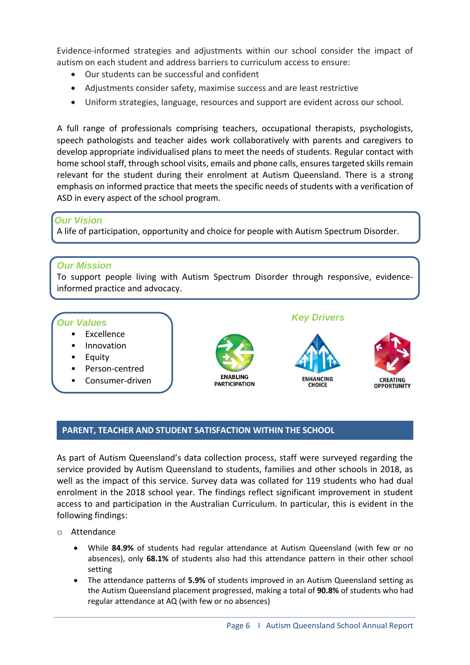Evidence-informed strategies and adjustments within our school consider the impact of autism on each student and address barriers to curriculum access to ensure:

- Our students can be successful and confident
- Adjustments consider safety, maximise success and are least restrictive
- Uniform strategies, language, resources and support are evident across our school.

A full range of professionals comprising teachers, occupational therapists, psychologists, speech pathologists and teacher aides work collaboratively with parents and caregivers to develop appropriate individualised plans to meet the needs of students. Regular contact with home school staff, through school visits, emails and phone calls, ensures targeted skills remain relevant for the student during their enrolment at Autism Queensland. There is a strong emphasis on informed practice that meets the specific needs of students with a verification of ASD in every aspect of the school program.

# *Our Vision*

A life of participation, opportunity and choice for people with Autism Spectrum Disorder.

# *Our Mission*

To support people living with Autism Spectrum Disorder through responsive, evidenceinformed practice and advocacy.

# *Our Values*

- **Excellence**
- Innovation
- **Equity**
- Person-centred
- Consumer-driven



# *Key Drivers*





### **PARENT, TEACHER AND STUDENT SATISFACTION WITHIN THE SCHOOL**

As part of Autism Queensland's data collection process, staff were surveyed regarding the service provided by Autism Queensland to students, families and other schools in 2018, as well as the impact of this service. Survey data was collated for 119 students who had dual enrolment in the 2018 school year. The findings reflect significant improvement in student access to and participation in the Australian Curriculum. In particular, this is evident in the following findings:

- o Attendance
	- While **84.9%** of students had regular attendance at Autism Queensland (with few or no absences), only **68.1%** of students also had this attendance pattern in their other school setting
	- The attendance patterns of **5.9%** of students improved in an Autism Queensland setting as the Autism Queensland placement progressed, making a total of **90.8%** of students who had regular attendance at AQ (with few or no absences)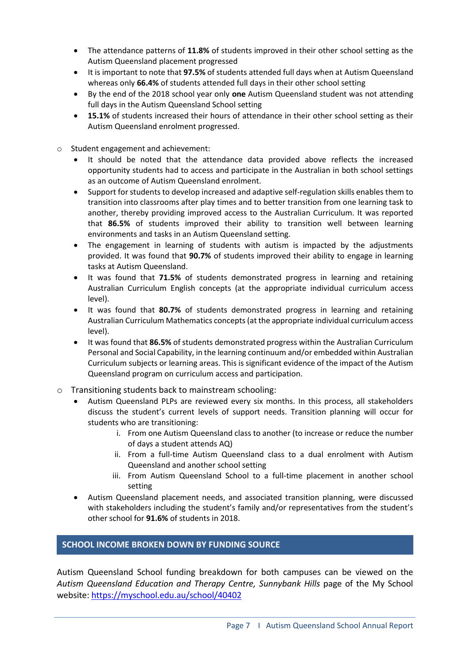- The attendance patterns of **11.8%** of students improved in their other school setting as the Autism Queensland placement progressed
- It is important to note that **97.5%** of students attended full days when at Autism Queensland whereas only **66.4%** of students attended full days in their other school setting
- By the end of the 2018 school year only **one** Autism Queensland student was not attending full days in the Autism Queensland School setting
- **15.1%** of students increased their hours of attendance in their other school setting as their Autism Queensland enrolment progressed.
- o Student engagement and achievement:
	- It should be noted that the attendance data provided above reflects the increased opportunity students had to access and participate in the Australian in both school settings as an outcome of Autism Queensland enrolment.
	- Support for students to develop increased and adaptive self-regulation skills enables them to transition into classrooms after play times and to better transition from one learning task to another, thereby providing improved access to the Australian Curriculum. It was reported that **86.5%** of students improved their ability to transition well between learning environments and tasks in an Autism Queensland setting.
	- The engagement in learning of students with autism is impacted by the adjustments provided. It was found that **90.7%** of students improved their ability to engage in learning tasks at Autism Queensland.
	- It was found that **71.5%** of students demonstrated progress in learning and retaining Australian Curriculum English concepts (at the appropriate individual curriculum access level).
	- It was found that **80.7%** of students demonstrated progress in learning and retaining Australian Curriculum Mathematics concepts (at the appropriate individual curriculum access level).
	- It was found that **86.5%** of students demonstrated progress within the Australian Curriculum Personal and Social Capability, in the learning continuum and/or embedded within Australian Curriculum subjects or learning areas. This is significant evidence of the impact of the Autism Queensland program on curriculum access and participation.
- o Transitioning students back to mainstream schooling:
	- Autism Queensland PLPs are reviewed every six months. In this process, all stakeholders discuss the student's current levels of support needs. Transition planning will occur for students who are transitioning:
		- i. From one Autism Queensland class to another (to increase or reduce the number of days a student attends AQ)
		- ii. From a full-time Autism Queensland class to a dual enrolment with Autism Queensland and another school setting
		- iii. From Autism Queensland School to a full-time placement in another school setting
	- Autism Queensland placement needs, and associated transition planning, were discussed with stakeholders including the student's family and/or representatives from the student's other school for **91.6%** of students in 2018.

# **SCHOOL INCOME BROKEN DOWN BY FUNDING SOURCE**

Autism Queensland School funding breakdown for both campuses can be viewed on the *Autism Queensland Education and Therapy Centre, Sunnybank Hills* page of the My School website: <https://myschool.edu.au/school/40402>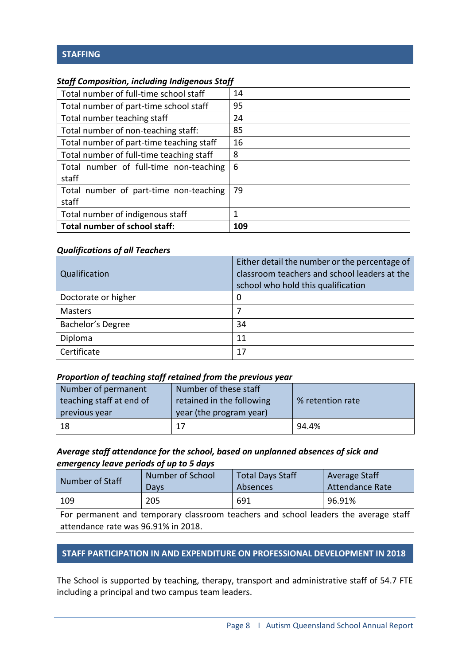# **STAFFING**

### *Staff Composition, including Indigenous Staff*

| Total number of full-time school staff   | 14  |
|------------------------------------------|-----|
| Total number of part-time school staff   | 95  |
| Total number teaching staff              | 24  |
| Total number of non-teaching staff:      | 85  |
| Total number of part-time teaching staff | 16  |
| Total number of full-time teaching staff | 8   |
| Total number of full-time non-teaching   | 6   |
| staff                                    |     |
| Total number of part-time non-teaching   | 79  |
| staff                                    |     |
| Total number of indigenous staff         | 1   |
| Total number of school staff:            | 109 |

### *Qualifications of all Teachers*

| Qualification       | Either detail the number or the percentage of<br>classroom teachers and school leaders at the<br>school who hold this qualification |
|---------------------|-------------------------------------------------------------------------------------------------------------------------------------|
| Doctorate or higher | 0                                                                                                                                   |
| <b>Masters</b>      |                                                                                                                                     |
| Bachelor's Degree   | 34                                                                                                                                  |
| Diploma             | 11                                                                                                                                  |
| Certificate         | 17                                                                                                                                  |

### *Proportion of teaching staff retained from the previous year*

| Number of permanent      | Number of these staff     |                  |
|--------------------------|---------------------------|------------------|
| teaching staff at end of | retained in the following | % retention rate |
| previous year            | year (the program year)   |                  |
| 18                       | 17                        | 94.4%            |

### *Average staff attendance for the school, based on unplanned absences of sick and emergency leave periods of up to 5 days*

| Number of Staff                     | Number of School                                                                    | <b>Total Days Staff</b> | <b>Average Staff</b>   |
|-------------------------------------|-------------------------------------------------------------------------------------|-------------------------|------------------------|
|                                     | Days                                                                                | Absences                | <b>Attendance Rate</b> |
| 109                                 | 205                                                                                 | 691                     | 96.91%                 |
|                                     | For permanent and temporary classroom teachers and school leaders the average staff |                         |                        |
| attendance rate was 96.91% in 2018. |                                                                                     |                         |                        |

# **STAFF PARTICIPATION IN AND EXPENDITURE ON PROFESSIONAL DEVELOPMENT IN 2018**

The School is supported by teaching, therapy, transport and administrative staff of 54.7 FTE including a principal and two campus team leaders.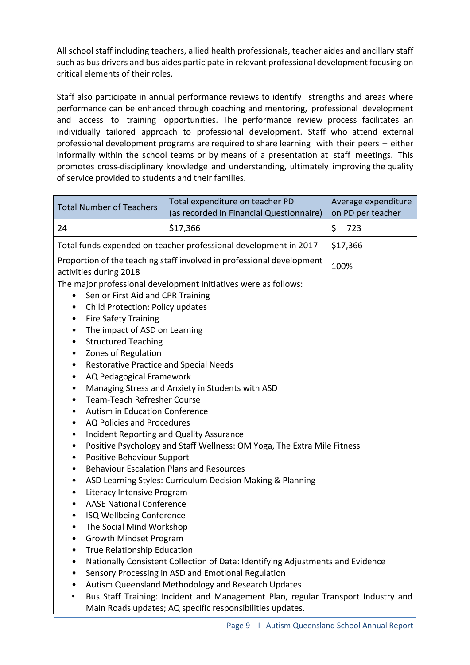All school staff including teachers, allied health professionals, teacher aides and ancillary staff such as bus drivers and bus aides participate in relevant professional development focusing on critical elements of their roles.

Staff also participate in annual performance reviews to identify strengths and areas where performance can be enhanced through coaching and mentoring, professional development and access to training opportunities. The performance review process facilitates an individually tailored approach to professional development. Staff who attend external professional development programs are required to share learning with their peers – either informally within the school teams or by means of a presentation at staff meetings. This promotes cross-disciplinary knowledge and understanding, ultimately improving the quality of service provided to students and their families.

| \$<br>\$17,366<br>723<br>24<br>Total funds expended on teacher professional development in 2017<br>\$17,366<br>Proportion of the teaching staff involved in professional development<br>100%<br>activities during 2018<br>The major professional development initiatives were as follows:<br>Senior First Aid and CPR Training<br>Child Protection: Policy updates<br>٠<br><b>Fire Safety Training</b><br>٠<br>The impact of ASD on Learning<br>٠<br><b>Structured Teaching</b><br>٠<br>Zones of Regulation<br>٠<br><b>Restorative Practice and Special Needs</b><br>٠<br>AQ Pedagogical Framework<br>٠<br>Managing Stress and Anxiety in Students with ASD<br>٠<br><b>Team-Teach Refresher Course</b><br>٠                                                                                                                                                                                                                                            |
|--------------------------------------------------------------------------------------------------------------------------------------------------------------------------------------------------------------------------------------------------------------------------------------------------------------------------------------------------------------------------------------------------------------------------------------------------------------------------------------------------------------------------------------------------------------------------------------------------------------------------------------------------------------------------------------------------------------------------------------------------------------------------------------------------------------------------------------------------------------------------------------------------------------------------------------------------------|
|                                                                                                                                                                                                                                                                                                                                                                                                                                                                                                                                                                                                                                                                                                                                                                                                                                                                                                                                                        |
|                                                                                                                                                                                                                                                                                                                                                                                                                                                                                                                                                                                                                                                                                                                                                                                                                                                                                                                                                        |
|                                                                                                                                                                                                                                                                                                                                                                                                                                                                                                                                                                                                                                                                                                                                                                                                                                                                                                                                                        |
| Autism in Education Conference<br>٠<br>AQ Policies and Procedures<br><b>Incident Reporting and Quality Assurance</b><br>٠<br>Positive Psychology and Staff Wellness: OM Yoga, The Extra Mile Fitness<br>٠<br>Positive Behaviour Support<br>٠<br><b>Behaviour Escalation Plans and Resources</b><br>$\bullet$<br>ASD Learning Styles: Curriculum Decision Making & Planning<br>٠<br>Literacy Intensive Program<br>٠<br><b>AASE National Conference</b><br>٠<br>ISQ Wellbeing Conference<br>٠<br>The Social Mind Workshop<br>$\bullet$<br>Growth Mindset Program<br>True Relationship Education<br>Nationally Consistent Collection of Data: Identifying Adjustments and Evidence<br>٠<br>Sensory Processing in ASD and Emotional Regulation<br>٠<br>Autism Queensland Methodology and Research Updates<br>Bus Staff Training: Incident and Management Plan, regular Transport Industry and<br>Main Roads updates; AQ specific responsibilities updates. |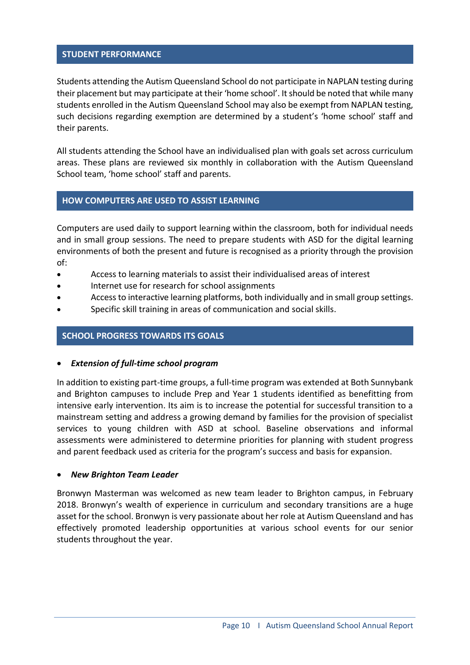### **STUDENT PERFORMANCE**

Students attending the Autism Queensland School do not participate in NAPLAN testing during their placement but may participate at their 'home school'. It should be noted that while many students enrolled in the Autism Queensland School may also be exempt from NAPLAN testing, such decisions regarding exemption are determined by a student's 'home school' staff and their parents.

All students attending the School have an individualised plan with goals set across curriculum areas. These plans are reviewed six monthly in collaboration with the Autism Queensland School team, 'home school' staff and parents.

### **HOW COMPUTERS ARE USED TO ASSIST LEARNING**

Computers are used daily to support learning within the classroom, both for individual needs and in small group sessions. The need to prepare students with ASD for the digital learning environments of both the present and future is recognised as a priority through the provision of:

- Access to learning materials to assist their individualised areas of interest
- Internet use for research for school assignments
- Access to interactive learning platforms, both individually and in small group settings.
- Specific skill training in areas of communication and social skills.

#### **SCHOOL PROGRESS TOWARDS ITS GOALS**

#### • *Extension of full-time school program*

In addition to existing part-time groups, a full-time program was extended at Both Sunnybank and Brighton campuses to include Prep and Year 1 students identified as benefitting from intensive early intervention. Its aim is to increase the potential for successful transition to a mainstream setting and address a growing demand by families for the provision of specialist services to young children with ASD at school. Baseline observations and informal assessments were administered to determine priorities for planning with student progress and parent feedback used as criteria for the program's success and basis for expansion.

#### • *New Brighton Team Leader*

Bronwyn Masterman was welcomed as new team leader to Brighton campus, in February 2018. Bronwyn's wealth of experience in curriculum and secondary transitions are a huge asset for the school. Bronwyn is very passionate about her role at Autism Queensland and has effectively promoted leadership opportunities at various school events for our senior students throughout the year.